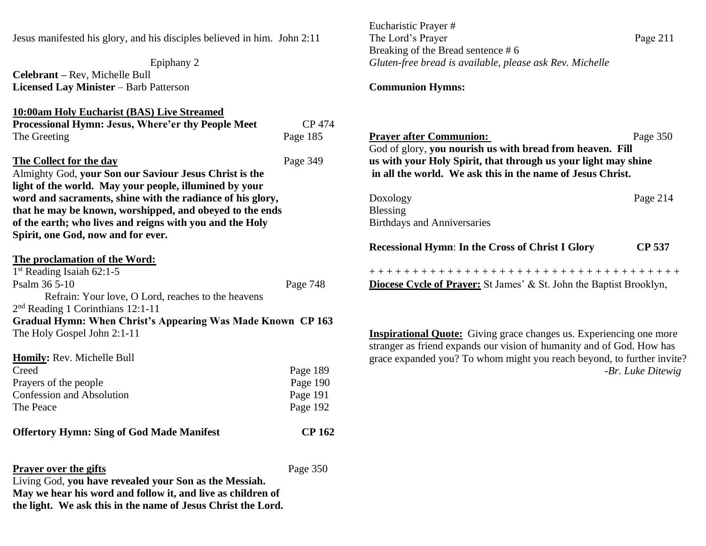Jesus manifested his glory, and his disciples believed in him. John 2:11

Epiphany 2 **Celebrant –** Rev, Michelle Bull **Licensed Lay Minister** – Barb Patterson

## **10:00am Holy Eucharist (BAS) Live Streamed**

| <b>Processional Hymn: Jesus, Where'er thy People Meet</b> | CP 474   |
|-----------------------------------------------------------|----------|
| The Greeting                                              | Page 185 |
| The Collect for the day                                   | Page 349 |
| Almighty God, your Son our Saviour Jesus Christ is the    |          |
| light of the world. May your people, illumined by your    |          |
| word and cooraments, shine with the radiance of his slaw. |          |

**word and sacraments, shine with the radiance of his glory, that he may be known, worshipped, and obeyed to the ends of the earth; who lives and reigns with you and the Holy Spirit, one God, now and for ever.**

# **The proclamation of the Word:** 1 st Reading Isaiah 62:1-5 Psalm 36 5-10 Page 748 Refrain: Your love, O Lord, reaches to the heavens 2<sup>nd</sup> Reading 1 Corinthians 12:1-11 **Gradual Hymn: When Christ's Appearing Was Made Known CP 163** The Holy Gospel John 2:1-11 **Homily:** Rev. Mich. Mich. Mich.

| <b>Homily:</b> Rev. Michelle Bull |          |
|-----------------------------------|----------|
| Creed                             | Page 189 |
| Prayers of the people             | Page 190 |
| Confession and Absolution         | Page 191 |
| The Peace                         | Page 192 |
|                                   |          |

### **Offertory Hymn: Sing of God Made Manifest CP 162**

## **Prayer over the gifts** Page 350

Living God, **you have revealed your Son as the Messiah. May we hear his word and follow it, and live as children of the light. We ask this in the name of Jesus Christ the Lord.** Eucharistic Prayer # The Lord's Prayer Page 211 Breaking of the Bread sentence # 6 *Gluten-free bread is available, please ask Rev. Michelle*

## **Communion Hymns:**

| <b>Prayer after Communion:</b><br>God of glory, you nourish us with bread from heaven. Fill<br>us with your Holy Spirit, that through us your light may shine<br>in all the world. We ask this in the name of Jesus Christ. | Page 350      |
|-----------------------------------------------------------------------------------------------------------------------------------------------------------------------------------------------------------------------------|---------------|
| Doxology<br><b>Blessing</b><br><b>Birthdays and Anniversaries</b>                                                                                                                                                           | Page 214      |
| <b>Recessional Hymn: In the Cross of Christ I Glory</b>                                                                                                                                                                     | <b>CP 537</b> |
| +++++++++++++++++++++++++++++++++++++<br><b>Diocese Cycle of Prayer:</b> St James' & St. John the Baptist Brooklyn,                                                                                                         |               |

**Inspirational Quote:** Giving grace changes us. Experiencing one more stranger as friend expands our vision of humanity and of God. How has grace expanded you? To whom might you reach beyond, to further invite? *-Br. Luke Ditewig*